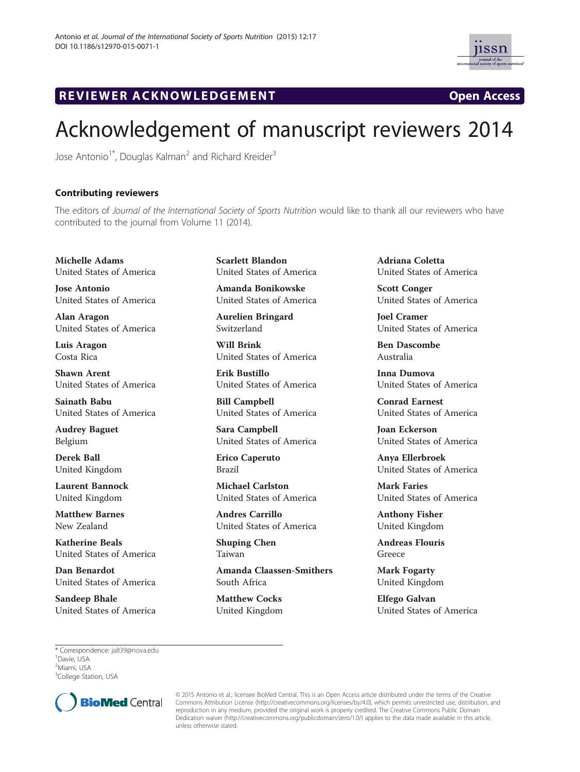

## R EVI EW E R ACKNOW L EDG EM EN T Open Access

## Acknowledgement of manuscript reviewers 2014

Jose Antonio<sup>1\*</sup>, Douglas Kalman<sup>2</sup> and Richard Kreider<sup>3</sup>

## Contributing reviewers

The editors of Journal of the International Society of Sports Nutrition would like to thank all our reviewers who have contributed to the journal from Volume 11 (2014).

Michelle Adams United States of America

Jose Antonio United States of America

Alan Aragon United States of America

Luis Aragon Costa Rica

Shawn Arent United States of America

Sainath Babu United States of America

Audrey Baguet Belgium

Derek Ball United Kingdom

Laurent Bannock United Kingdom

Matthew Barnes New Zealand

Katherine Beals United States of America

Dan Benardot United States of America

Sandeep Bhale United States of America Scarlett Blandon United States of America

Amanda Bonikowske United States of America

Aurelien Bringard Switzerland

Will Brink United States of America

Erik Bustillo United States of America

Bill Campbell United States of America

Sara Campbell United States of America

Erico Caperuto Brazil

Michael Carlston United States of America

Andres Carrillo United States of America

Shuping Chen Taiwan

Amanda Claassen-Smithers South Africa

Matthew Cocks United Kingdom

Adriana Coletta United States of America

Scott Conger United States of America

Joel Cramer United States of America

Ben Dascombe Australia

Inna Dumova United States of America

Conrad Earnest United States of America

Joan Eckerson United States of America

Anya Ellerbroek United States of America

Mark Faries United States of America

Anthony Fisher United Kingdom

Andreas Flouris Greece

Mark Fogarty United Kingdom

Elfego Galvan United States of America

\* Correspondence: [ja839@nova.edu](mailto:ja839@nova.edu) <sup>1</sup> <sup>1</sup>Davie, USA <sup>2</sup>Miami, USA <sup>3</sup>College Station, USA



© 2015 Antonio et al.; licensee BioMed Central. This is an Open Access article distributed under the terms of the Creative Commons Attribution License [\(http://creativecommons.org/licenses/by/4.0\)](http://creativecommons.org/licenses/by/4.0), which permits unrestricted use, distribution, and reproduction in any medium, provided the original work is properly credited. The Creative Commons Public Domain Dedication waiver [\(http://creativecommons.org/publicdomain/zero/1.0/](http://creativecommons.org/publicdomain/zero/1.0/)) applies to the data made available in this article, unless otherwise stated.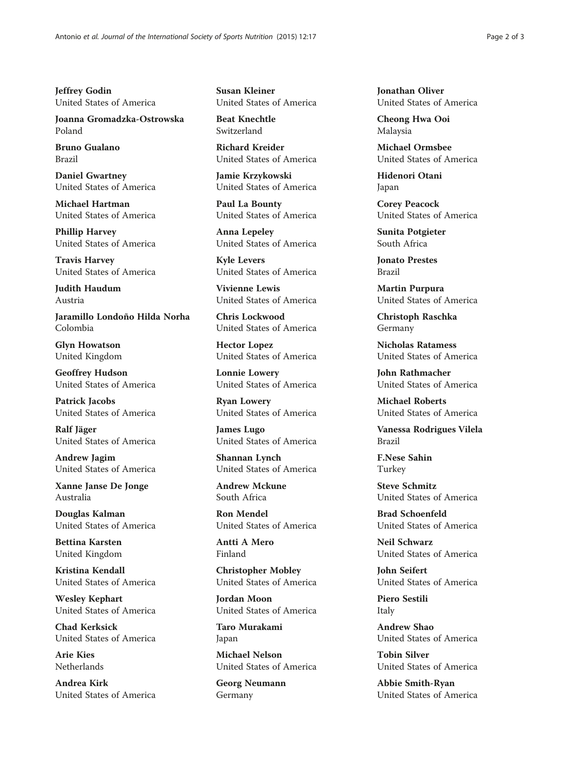Jeffrey Godin United States of America

Joanna Gromadzka-Ostrowska Poland

Bruno Gualano Brazil

Daniel Gwartney United States of America

Michael Hartman United States of America

Phillip Harvey United States of America

Travis Harvey United States of America

Judith Haudum Austria

Jaramillo Londoño Hilda Norha Colombia

Glyn Howatson United Kingdom

Geoffrey Hudson United States of America

Patrick Jacobs United States of America

Ralf Jäger United States of America

Andrew Jagim United States of America

Xanne Janse De Jonge Australia

Douglas Kalman United States of America

Bettina Karsten United Kingdom

Kristina Kendall United States of America

Wesley Kephart United States of America

Chad Kerksick United States of America

Arie Kies Netherlands

Andrea Kirk United States of America Susan Kleiner United States of America

Beat Knechtle Switzerland

Richard Kreider United States of America

Jamie Krzykowski United States of America

Paul La Bounty United States of America

Anna Lepeley United States of America

Kyle Levers United States of America

Vivienne Lewis United States of America

Chris Lockwood United States of America

Hector Lopez United States of America

Lonnie Lowery United States of America

Ryan Lowery United States of America

James Lugo United States of America

Shannan Lynch United States of America

Andrew Mckune South Africa

Ron Mendel United States of America

Antti A Mero Finland

Christopher Mobley United States of America

Jordan Moon United States of America

Taro Murakami Japan

Michael Nelson United States of America

Georg Neumann Germany

Jonathan Oliver United States of America

Cheong Hwa Ooi Malaysia

Michael Ormsbee United States of America

Hidenori Otani Japan

Corey Peacock United States of America

Sunita Potgieter South Africa

Jonato Prestes Brazil

Martin Purpura United States of America

Christoph Raschka Germany

Nicholas Ratamess United States of America

John Rathmacher United States of America

Michael Roberts United States of America

Vanessa Rodrigues Vilela Brazil

F.Nese Sahin Turkey

Steve Schmitz United States of America

Brad Schoenfeld United States of America

Neil Schwarz United States of America

John Seifert United States of America

Piero Sestili Italy

Andrew Shao United States of America

Tobin Silver United States of America

Abbie Smith-Ryan United States of America